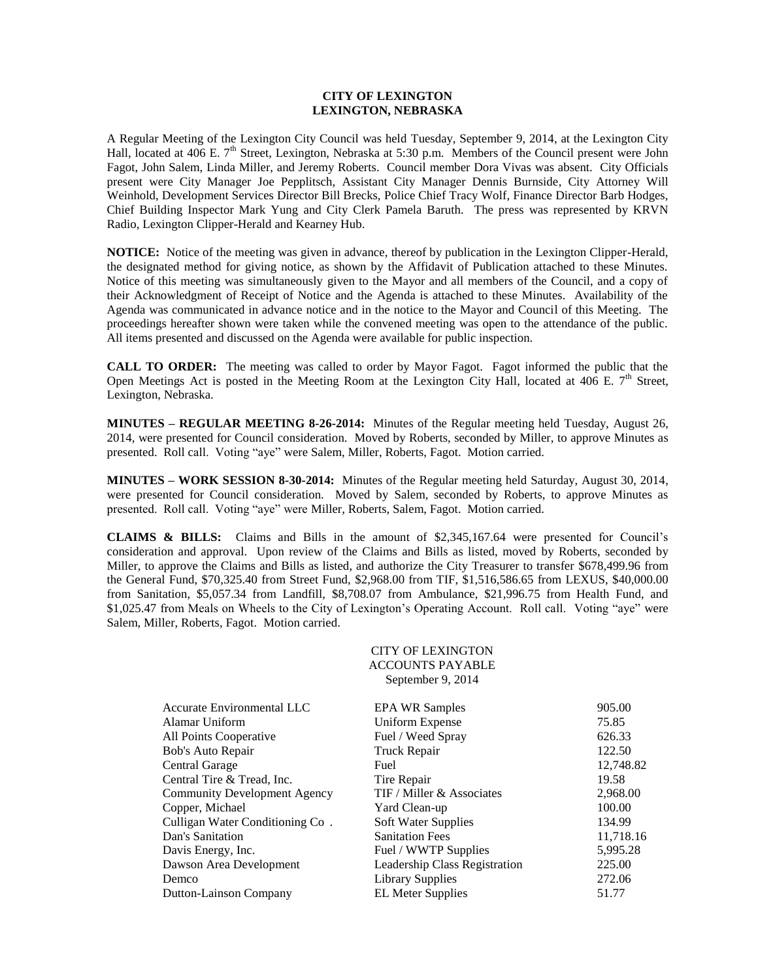# **CITY OF LEXINGTON LEXINGTON, NEBRASKA**

A Regular Meeting of the Lexington City Council was held Tuesday, September 9, 2014, at the Lexington City Hall, located at 406 E. 7<sup>th</sup> Street, Lexington, Nebraska at 5:30 p.m. Members of the Council present were John Fagot, John Salem, Linda Miller, and Jeremy Roberts. Council member Dora Vivas was absent. City Officials present were City Manager Joe Pepplitsch, Assistant City Manager Dennis Burnside, City Attorney Will Weinhold, Development Services Director Bill Brecks, Police Chief Tracy Wolf, Finance Director Barb Hodges, Chief Building Inspector Mark Yung and City Clerk Pamela Baruth. The press was represented by KRVN Radio, Lexington Clipper-Herald and Kearney Hub.

**NOTICE:** Notice of the meeting was given in advance, thereof by publication in the Lexington Clipper-Herald, the designated method for giving notice, as shown by the Affidavit of Publication attached to these Minutes. Notice of this meeting was simultaneously given to the Mayor and all members of the Council, and a copy of their Acknowledgment of Receipt of Notice and the Agenda is attached to these Minutes. Availability of the Agenda was communicated in advance notice and in the notice to the Mayor and Council of this Meeting. The proceedings hereafter shown were taken while the convened meeting was open to the attendance of the public. All items presented and discussed on the Agenda were available for public inspection.

**CALL TO ORDER:** The meeting was called to order by Mayor Fagot. Fagot informed the public that the Open Meetings Act is posted in the Meeting Room at the Lexington City Hall, located at 406 E.  $7<sup>th</sup>$  Street, Lexington, Nebraska.

**MINUTES – REGULAR MEETING 8-26-2014:** Minutes of the Regular meeting held Tuesday, August 26, 2014, were presented for Council consideration. Moved by Roberts, seconded by Miller, to approve Minutes as presented. Roll call. Voting "aye" were Salem, Miller, Roberts, Fagot. Motion carried.

**MINUTES – WORK SESSION 8-30-2014:** Minutes of the Regular meeting held Saturday, August 30, 2014, were presented for Council consideration. Moved by Salem, seconded by Roberts, to approve Minutes as presented. Roll call. Voting "aye" were Miller, Roberts, Salem, Fagot. Motion carried.

**CLAIMS & BILLS:** Claims and Bills in the amount of \$2,345,167.64 were presented for Council's consideration and approval. Upon review of the Claims and Bills as listed, moved by Roberts, seconded by Miller, to approve the Claims and Bills as listed, and authorize the City Treasurer to transfer \$678,499.96 from the General Fund, \$70,325.40 from Street Fund, \$2,968.00 from TIF, \$1,516,586.65 from LEXUS, \$40,000.00 from Sanitation, \$5,057.34 from Landfill, \$8,708.07 from Ambulance, \$21,996.75 from Health Fund, and \$1,025.47 from Meals on Wheels to the City of Lexington's Operating Account. Roll call. Voting "aye" were Salem, Miller, Roberts, Fagot. Motion carried.

> CITY OF LEXINGTON ACCOUNTS PAYABLE September 9, 2014

| Accurate Environmental LLC          | <b>EPA WR Samples</b>         | 905.00    |
|-------------------------------------|-------------------------------|-----------|
| Alamar Uniform                      | <b>Uniform Expense</b>        | 75.85     |
| All Points Cooperative              | Fuel / Weed Spray             | 626.33    |
| Bob's Auto Repair                   | Truck Repair                  | 122.50    |
| Central Garage                      | Fuel                          | 12,748.82 |
| Central Tire & Tread, Inc.          | Tire Repair                   | 19.58     |
| <b>Community Development Agency</b> | TIF / Miller & Associates     | 2,968.00  |
| Copper, Michael                     | Yard Clean-up                 | 100.00    |
| Culligan Water Conditioning Co.     | Soft Water Supplies           | 134.99    |
| Dan's Sanitation                    | <b>Sanitation Fees</b>        | 11,718.16 |
| Davis Energy, Inc.                  | Fuel / WWTP Supplies          | 5,995.28  |
| Dawson Area Development             | Leadership Class Registration | 225.00    |
| Demco                               | <b>Library Supplies</b>       | 272.06    |
| Dutton-Lainson Company              | <b>EL Meter Supplies</b>      | 51.77     |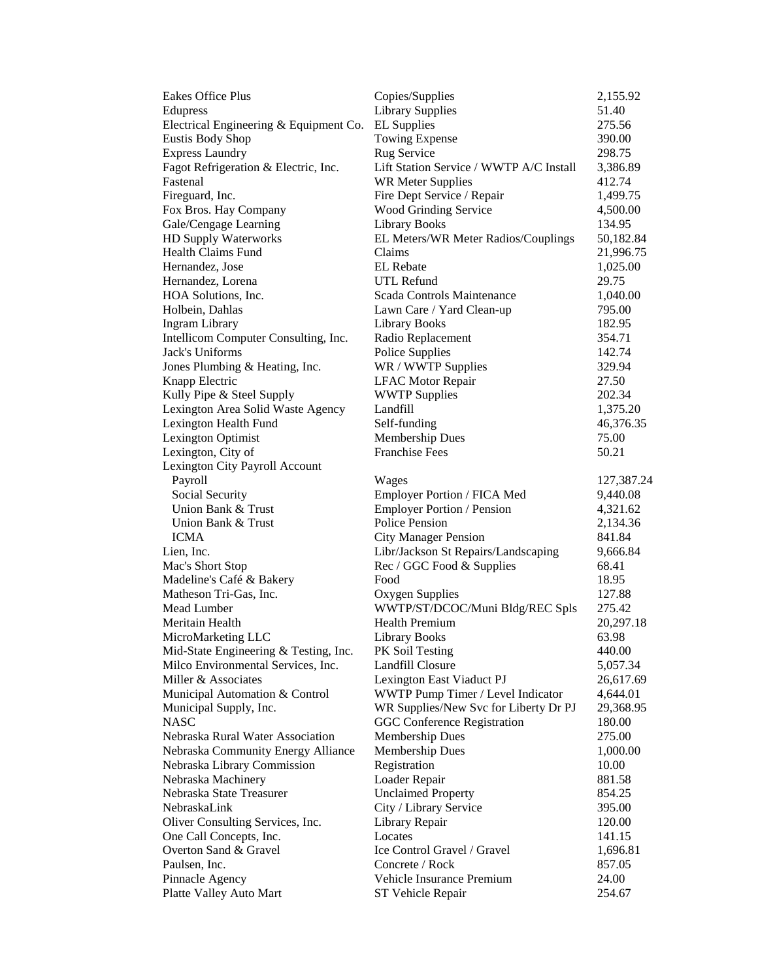| Eakes Office Plus                      | Copies/Supplies                         | 2,155.92   |
|----------------------------------------|-----------------------------------------|------------|
| Edupress                               | <b>Library Supplies</b>                 | 51.40      |
| Electrical Engineering & Equipment Co. | <b>EL</b> Supplies                      | 275.56     |
| <b>Eustis Body Shop</b>                | Towing Expense                          | 390.00     |
| <b>Express Laundry</b>                 | Rug Service                             | 298.75     |
| Fagot Refrigeration & Electric, Inc.   | Lift Station Service / WWTP A/C Install | 3,386.89   |
| Fastenal                               | <b>WR Meter Supplies</b>                | 412.74     |
| Fireguard, Inc.                        | Fire Dept Service / Repair              | 1,499.75   |
| Fox Bros. Hay Company                  | Wood Grinding Service                   | 4,500.00   |
| Gale/Cengage Learning                  | <b>Library Books</b>                    | 134.95     |
| HD Supply Waterworks                   | EL Meters/WR Meter Radios/Couplings     | 50,182.84  |
| <b>Health Claims Fund</b>              | Claims                                  | 21,996.75  |
| Hernandez, Jose                        | <b>EL</b> Rebate                        | 1,025.00   |
| Hernandez, Lorena                      | UTL Refund                              | 29.75      |
| HOA Solutions, Inc.                    | Scada Controls Maintenance              | 1,040.00   |
| Holbein, Dahlas                        | Lawn Care / Yard Clean-up               | 795.00     |
| <b>Ingram Library</b>                  | <b>Library Books</b>                    | 182.95     |
| Intellicom Computer Consulting, Inc.   | Radio Replacement                       | 354.71     |
| Jack's Uniforms                        | Police Supplies                         | 142.74     |
| Jones Plumbing & Heating, Inc.         | WR / WWTP Supplies                      | 329.94     |
| Knapp Electric                         | <b>LFAC Motor Repair</b>                | 27.50      |
| Kully Pipe & Steel Supply              | <b>WWTP Supplies</b>                    | 202.34     |
| Lexington Area Solid Waste Agency      | Landfill                                | 1,375.20   |
| Lexington Health Fund                  | Self-funding                            | 46,376.35  |
| Lexington Optimist                     | Membership Dues                         | 75.00      |
| Lexington, City of                     | <b>Franchise Fees</b>                   | 50.21      |
| Lexington City Payroll Account         |                                         |            |
| Payroll                                | Wages                                   | 127,387.24 |
| Social Security                        | Employer Portion / FICA Med             | 9,440.08   |
| Union Bank & Trust                     | <b>Employer Portion / Pension</b>       | 4,321.62   |
| Union Bank & Trust                     | <b>Police Pension</b>                   | 2,134.36   |
| <b>ICMA</b>                            | <b>City Manager Pension</b>             | 841.84     |
| Lien, Inc.                             | Libr/Jackson St Repairs/Landscaping     | 9,666.84   |
| Mac's Short Stop                       | Rec / GGC Food & Supplies               | 68.41      |
| Madeline's Café & Bakery               | Food                                    | 18.95      |
| Matheson Tri-Gas, Inc.                 | Oxygen Supplies                         | 127.88     |
| Mead Lumber                            | WWTP/ST/DCOC/Muni Bldg/REC Spls         | 275.42     |
| Meritain Health                        | <b>Health Premium</b>                   | 20,297.18  |
| MicroMarketing LLC                     | <b>Library Books</b>                    | 63.98      |
| Mid-State Engineering & Testing, Inc.  | PK Soil Testing                         | 440.00     |
| Milco Environmental Services, Inc.     | Landfill Closure                        | 5,057.34   |
| Miller & Associates                    | Lexington East Viaduct PJ               | 26,617.69  |
| Municipal Automation & Control         | WWTP Pump Timer / Level Indicator       | 4,644.01   |
| Municipal Supply, Inc.                 | WR Supplies/New Svc for Liberty Dr PJ   | 29,368.95  |
| <b>NASC</b>                            | <b>GGC Conference Registration</b>      | 180.00     |
| Nebraska Rural Water Association       | <b>Membership Dues</b>                  | 275.00     |
| Nebraska Community Energy Alliance     | Membership Dues                         | 1,000.00   |
| Nebraska Library Commission            | Registration                            | 10.00      |
| Nebraska Machinery                     | Loader Repair                           | 881.58     |
| Nebraska State Treasurer               | <b>Unclaimed Property</b>               | 854.25     |
| NebraskaLink                           | City / Library Service                  | 395.00     |
| Oliver Consulting Services, Inc.       | Library Repair                          | 120.00     |
| One Call Concepts, Inc.                | Locates                                 | 141.15     |
| Overton Sand & Gravel                  | Ice Control Gravel / Gravel             | 1,696.81   |
| Paulsen, Inc.                          | Concrete / Rock                         | 857.05     |
| Pinnacle Agency                        | Vehicle Insurance Premium               | 24.00      |
| Platte Valley Auto Mart                | ST Vehicle Repair                       | 254.67     |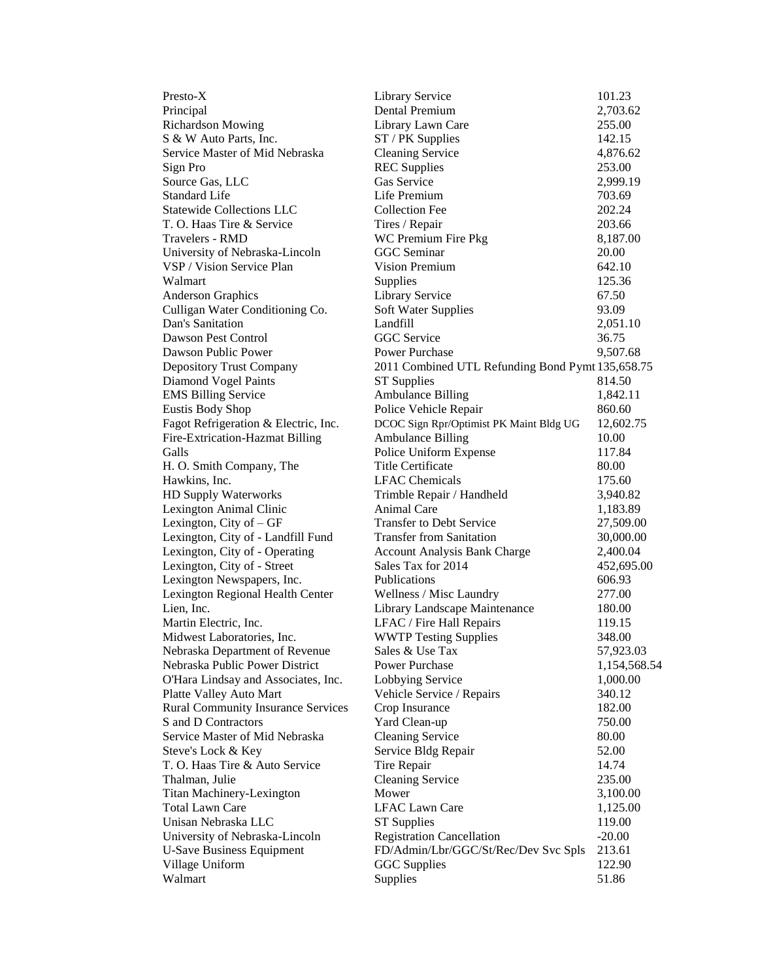| Presto-X                                  | Library Service                                  | 101.23       |
|-------------------------------------------|--------------------------------------------------|--------------|
| Principal                                 | Dental Premium                                   | 2,703.62     |
| <b>Richardson Mowing</b>                  | Library Lawn Care                                | 255.00       |
| S & W Auto Parts, Inc.                    | ST / PK Supplies                                 | 142.15       |
| Service Master of Mid Nebraska            | <b>Cleaning Service</b>                          | 4,876.62     |
| Sign Pro                                  | <b>REC</b> Supplies                              | 253.00       |
| Source Gas, LLC                           | Gas Service                                      | 2,999.19     |
| <b>Standard Life</b>                      | Life Premium                                     | 703.69       |
| <b>Statewide Collections LLC</b>          | <b>Collection Fee</b>                            | 202.24       |
| T. O. Haas Tire & Service                 | Tires / Repair                                   | 203.66       |
| <b>Travelers - RMD</b>                    | WC Premium Fire Pkg                              | 8,187.00     |
| University of Nebraska-Lincoln            | <b>GGC</b> Seminar                               | 20.00        |
| VSP / Vision Service Plan                 | Vision Premium                                   | 642.10       |
| Walmart                                   | Supplies                                         | 125.36       |
| <b>Anderson Graphics</b>                  | Library Service                                  | 67.50        |
| Culligan Water Conditioning Co.           | Soft Water Supplies                              | 93.09        |
| Dan's Sanitation                          | Landfill                                         | 2,051.10     |
| Dawson Pest Control                       | <b>GGC</b> Service                               | 36.75        |
| Dawson Public Power                       | Power Purchase                                   | 9,507.68     |
| <b>Depository Trust Company</b>           | 2011 Combined UTL Refunding Bond Pymt 135,658.75 |              |
| Diamond Vogel Paints                      | <b>ST</b> Supplies                               | 814.50       |
| <b>EMS Billing Service</b>                | <b>Ambulance Billing</b>                         | 1,842.11     |
| <b>Eustis Body Shop</b>                   | Police Vehicle Repair                            | 860.60       |
| Fagot Refrigeration & Electric, Inc.      | DCOC Sign Rpr/Optimist PK Maint Bldg UG          | 12,602.75    |
| Fire-Extrication-Hazmat Billing           | <b>Ambulance Billing</b>                         | 10.00        |
| Galls                                     | Police Uniform Expense                           | 117.84       |
| H. O. Smith Company, The                  | <b>Title Certificate</b>                         | 80.00        |
| Hawkins, Inc.                             | <b>LFAC</b> Chemicals                            | 175.60       |
| HD Supply Waterworks                      | Trimble Repair / Handheld                        | 3,940.82     |
| Lexington Animal Clinic                   | Animal Care                                      | 1,183.89     |
| Lexington, City of $-GF$                  | <b>Transfer to Debt Service</b>                  | 27,509.00    |
| Lexington, City of - Landfill Fund        | <b>Transfer from Sanitation</b>                  | 30,000.00    |
| Lexington, City of - Operating            | <b>Account Analysis Bank Charge</b>              | 2,400.04     |
| Lexington, City of - Street               | Sales Tax for 2014                               | 452,695.00   |
| Lexington Newspapers, Inc.                | Publications                                     | 606.93       |
| Lexington Regional Health Center          | Wellness / Misc Laundry                          | 277.00       |
| Lien, Inc.                                | Library Landscape Maintenance                    | 180.00       |
| Martin Electric, Inc.                     | LFAC / Fire Hall Repairs                         | 119.15       |
| Midwest Laboratories, Inc.                | <b>WWTP Testing Supplies</b>                     | 348.00       |
| Nebraska Department of Revenue            | Sales & Use Tax                                  | 57,923.03    |
| Nebraska Public Power District            | Power Purchase                                   | 1,154,568.54 |
| O'Hara Lindsay and Associates, Inc.       | Lobbying Service                                 | 1,000.00     |
| Platte Valley Auto Mart                   | Vehicle Service / Repairs                        | 340.12       |
| <b>Rural Community Insurance Services</b> | Crop Insurance                                   | 182.00       |
| S and D Contractors                       | Yard Clean-up                                    | 750.00       |
| Service Master of Mid Nebraska            | <b>Cleaning Service</b>                          | 80.00        |
| Steve's Lock & Key                        | Service Bldg Repair                              | 52.00        |
| T. O. Haas Tire & Auto Service            | Tire Repair                                      | 14.74        |
| Thalman, Julie                            | <b>Cleaning Service</b>                          | 235.00       |
| Titan Machinery-Lexington                 | Mower                                            | 3,100.00     |
| <b>Total Lawn Care</b>                    | <b>LFAC Lawn Care</b>                            | 1,125.00     |
| Unisan Nebraska LLC                       | <b>ST</b> Supplies                               | 119.00       |
| University of Nebraska-Lincoln            | <b>Registration Cancellation</b>                 | $-20.00$     |
| <b>U-Save Business Equipment</b>          | FD/Admin/Lbr/GGC/St/Rec/Dev Svc Spls             | 213.61       |
| Village Uniform                           | <b>GGC</b> Supplies                              | 122.90       |
| Walmart                                   | Supplies                                         | 51.86        |
|                                           |                                                  |              |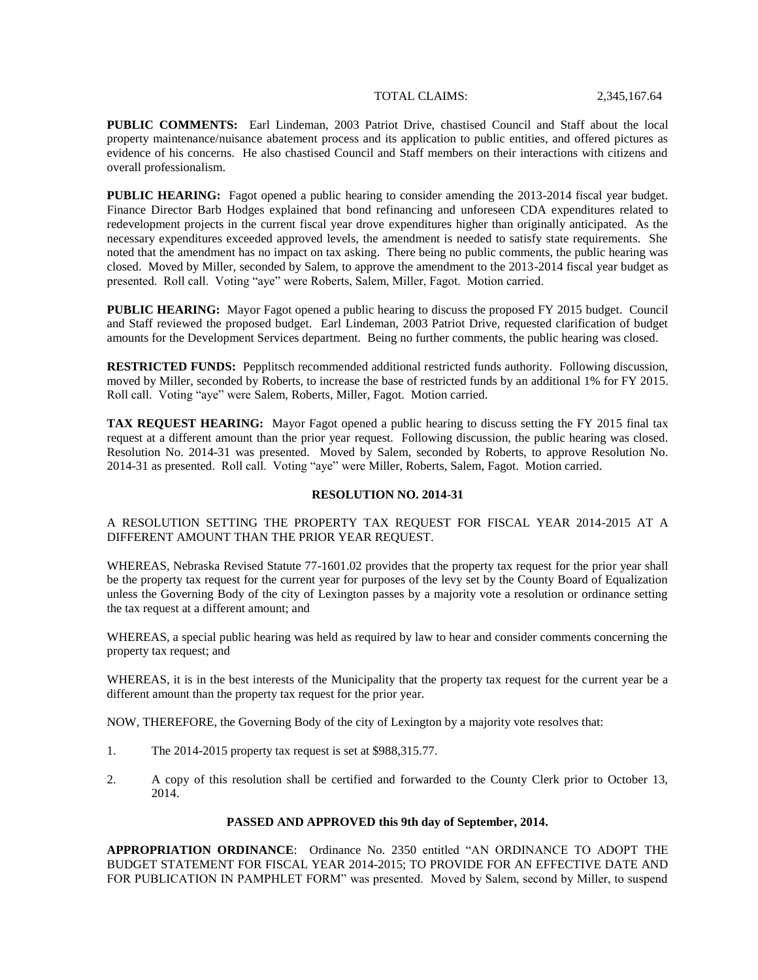### TOTAL CLAIMS: 2,345,167.64

**PUBLIC COMMENTS:** Earl Lindeman, 2003 Patriot Drive, chastised Council and Staff about the local property maintenance/nuisance abatement process and its application to public entities, and offered pictures as evidence of his concerns. He also chastised Council and Staff members on their interactions with citizens and overall professionalism.

**PUBLIC HEARING:** Fagot opened a public hearing to consider amending the 2013-2014 fiscal year budget. Finance Director Barb Hodges explained that bond refinancing and unforeseen CDA expenditures related to redevelopment projects in the current fiscal year drove expenditures higher than originally anticipated. As the necessary expenditures exceeded approved levels, the amendment is needed to satisfy state requirements. She noted that the amendment has no impact on tax asking. There being no public comments, the public hearing was closed. Moved by Miller, seconded by Salem, to approve the amendment to the 2013-2014 fiscal year budget as presented. Roll call. Voting "aye" were Roberts, Salem, Miller, Fagot. Motion carried.

**PUBLIC HEARING:** Mayor Fagot opened a public hearing to discuss the proposed FY 2015 budget. Council and Staff reviewed the proposed budget. Earl Lindeman, 2003 Patriot Drive, requested clarification of budget amounts for the Development Services department. Being no further comments, the public hearing was closed.

**RESTRICTED FUNDS:** Pepplitsch recommended additional restricted funds authority. Following discussion, moved by Miller, seconded by Roberts, to increase the base of restricted funds by an additional 1% for FY 2015. Roll call. Voting "aye" were Salem, Roberts, Miller, Fagot. Motion carried.

**TAX REQUEST HEARING:** Mayor Fagot opened a public hearing to discuss setting the FY 2015 final tax request at a different amount than the prior year request. Following discussion, the public hearing was closed. Resolution No. 2014-31 was presented. Moved by Salem, seconded by Roberts, to approve Resolution No. 2014-31 as presented. Roll call. Voting "aye" were Miller, Roberts, Salem, Fagot. Motion carried.

## **RESOLUTION NO. 2014-31**

# A RESOLUTION SETTING THE PROPERTY TAX REQUEST FOR FISCAL YEAR 2014-2015 AT A DIFFERENT AMOUNT THAN THE PRIOR YEAR REQUEST.

WHEREAS, Nebraska Revised Statute 77-1601.02 provides that the property tax request for the prior year shall be the property tax request for the current year for purposes of the levy set by the County Board of Equalization unless the Governing Body of the city of Lexington passes by a majority vote a resolution or ordinance setting the tax request at a different amount; and

WHEREAS, a special public hearing was held as required by law to hear and consider comments concerning the property tax request; and

WHEREAS, it is in the best interests of the Municipality that the property tax request for the current year be a different amount than the property tax request for the prior year.

NOW, THEREFORE, the Governing Body of the city of Lexington by a majority vote resolves that:

- 1. The 2014-2015 property tax request is set at \$988,315.77.
- 2. A copy of this resolution shall be certified and forwarded to the County Clerk prior to October 13, 2014.

#### **PASSED AND APPROVED this 9th day of September, 2014.**

**APPROPRIATION ORDINANCE**: Ordinance No. 2350 entitled "AN ORDINANCE TO ADOPT THE BUDGET STATEMENT FOR FISCAL YEAR 2014-2015; TO PROVIDE FOR AN EFFECTIVE DATE AND FOR PUBLICATION IN PAMPHLET FORM" was presented. Moved by Salem, second by Miller, to suspend